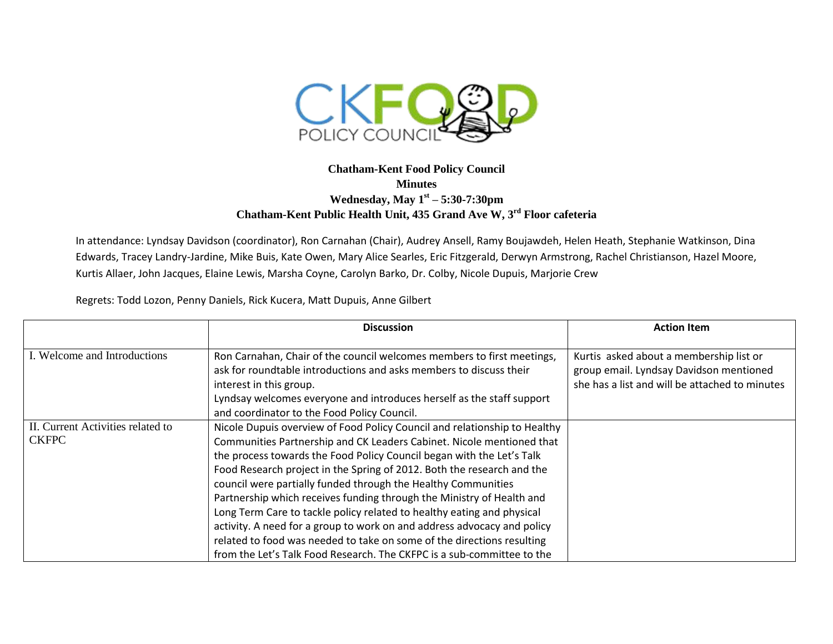

## **Chatham-Kent Food Policy Council Minutes Wednesday, May 1st – 5:30-7:30pm Chatham-Kent Public Health Unit, 435 Grand Ave W, 3rd Floor cafeteria**

In attendance: Lyndsay Davidson (coordinator), Ron Carnahan (Chair), Audrey Ansell, Ramy Boujawdeh, Helen Heath, Stephanie Watkinson, Dina Edwards, Tracey Landry-Jardine, Mike Buis, Kate Owen, Mary Alice Searles, Eric Fitzgerald, Derwyn Armstrong, Rachel Christianson, Hazel Moore, Kurtis Allaer, John Jacques, Elaine Lewis, Marsha Coyne, Carolyn Barko, Dr. Colby, Nicole Dupuis, Marjorie Crew

Regrets: Todd Lozon, Penny Daniels, Rick Kucera, Matt Dupuis, Anne Gilbert

|                                                   | <b>Discussion</b>                                                                                                                                                                                                                                                                                                                                                                                                                                                                                                                                                                                                                                                                                                                                        | <b>Action Item</b>                                                                                                                   |
|---------------------------------------------------|----------------------------------------------------------------------------------------------------------------------------------------------------------------------------------------------------------------------------------------------------------------------------------------------------------------------------------------------------------------------------------------------------------------------------------------------------------------------------------------------------------------------------------------------------------------------------------------------------------------------------------------------------------------------------------------------------------------------------------------------------------|--------------------------------------------------------------------------------------------------------------------------------------|
| I. Welcome and Introductions                      | Ron Carnahan, Chair of the council welcomes members to first meetings,<br>ask for roundtable introductions and asks members to discuss their<br>interest in this group.<br>Lyndsay welcomes everyone and introduces herself as the staff support<br>and coordinator to the Food Policy Council.                                                                                                                                                                                                                                                                                                                                                                                                                                                          | Kurtis asked about a membership list or<br>group email. Lyndsay Davidson mentioned<br>she has a list and will be attached to minutes |
| II. Current Activities related to<br><b>CKFPC</b> | Nicole Dupuis overview of Food Policy Council and relationship to Healthy<br>Communities Partnership and CK Leaders Cabinet. Nicole mentioned that<br>the process towards the Food Policy Council began with the Let's Talk<br>Food Research project in the Spring of 2012. Both the research and the<br>council were partially funded through the Healthy Communities<br>Partnership which receives funding through the Ministry of Health and<br>Long Term Care to tackle policy related to healthy eating and physical<br>activity. A need for a group to work on and address advocacy and policy<br>related to food was needed to take on some of the directions resulting<br>from the Let's Talk Food Research. The CKFPC is a sub-committee to the |                                                                                                                                      |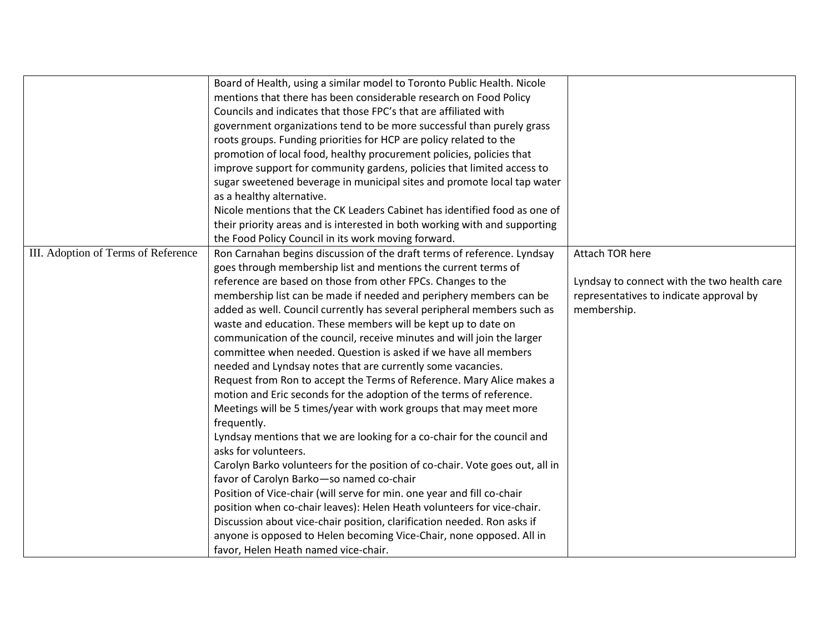|                                     | Board of Health, using a similar model to Toronto Public Health. Nicole      |                                             |
|-------------------------------------|------------------------------------------------------------------------------|---------------------------------------------|
|                                     | mentions that there has been considerable research on Food Policy            |                                             |
|                                     | Councils and indicates that those FPC's that are affiliated with             |                                             |
|                                     | government organizations tend to be more successful than purely grass        |                                             |
|                                     | roots groups. Funding priorities for HCP are policy related to the           |                                             |
|                                     | promotion of local food, healthy procurement policies, policies that         |                                             |
|                                     | improve support for community gardens, policies that limited access to       |                                             |
|                                     | sugar sweetened beverage in municipal sites and promote local tap water      |                                             |
|                                     | as a healthy alternative.                                                    |                                             |
|                                     | Nicole mentions that the CK Leaders Cabinet has identified food as one of    |                                             |
|                                     | their priority areas and is interested in both working with and supporting   |                                             |
|                                     | the Food Policy Council in its work moving forward.                          |                                             |
| III. Adoption of Terms of Reference | Ron Carnahan begins discussion of the draft terms of reference. Lyndsay      | Attach TOR here                             |
|                                     | goes through membership list and mentions the current terms of               |                                             |
|                                     | reference are based on those from other FPCs. Changes to the                 | Lyndsay to connect with the two health care |
|                                     | membership list can be made if needed and periphery members can be           | representatives to indicate approval by     |
|                                     | added as well. Council currently has several peripheral members such as      | membership.                                 |
|                                     | waste and education. These members will be kept up to date on                |                                             |
|                                     | communication of the council, receive minutes and will join the larger       |                                             |
|                                     | committee when needed. Question is asked if we have all members              |                                             |
|                                     | needed and Lyndsay notes that are currently some vacancies.                  |                                             |
|                                     | Request from Ron to accept the Terms of Reference. Mary Alice makes a        |                                             |
|                                     | motion and Eric seconds for the adoption of the terms of reference.          |                                             |
|                                     | Meetings will be 5 times/year with work groups that may meet more            |                                             |
|                                     | frequently.                                                                  |                                             |
|                                     | Lyndsay mentions that we are looking for a co-chair for the council and      |                                             |
|                                     | asks for volunteers.                                                         |                                             |
|                                     | Carolyn Barko volunteers for the position of co-chair. Vote goes out, all in |                                             |
|                                     | favor of Carolyn Barko-so named co-chair                                     |                                             |
|                                     | Position of Vice-chair (will serve for min. one year and fill co-chair       |                                             |
|                                     | position when co-chair leaves): Helen Heath volunteers for vice-chair.       |                                             |
|                                     | Discussion about vice-chair position, clarification needed. Ron asks if      |                                             |
|                                     | anyone is opposed to Helen becoming Vice-Chair, none opposed. All in         |                                             |
|                                     | favor, Helen Heath named vice-chair.                                         |                                             |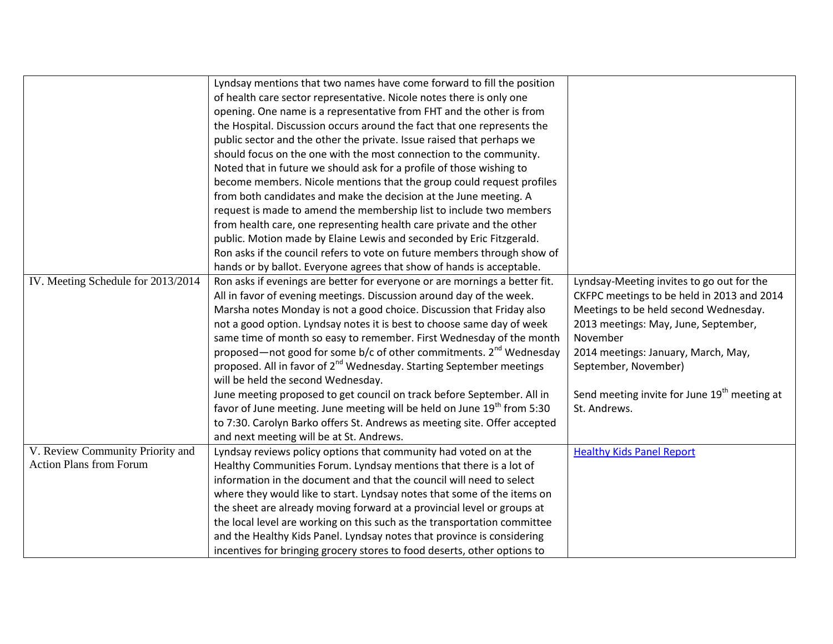|                                    | Lyndsay mentions that two names have come forward to fill the position              |                                                          |
|------------------------------------|-------------------------------------------------------------------------------------|----------------------------------------------------------|
|                                    | of health care sector representative. Nicole notes there is only one                |                                                          |
|                                    | opening. One name is a representative from FHT and the other is from                |                                                          |
|                                    | the Hospital. Discussion occurs around the fact that one represents the             |                                                          |
|                                    | public sector and the other the private. Issue raised that perhaps we               |                                                          |
|                                    | should focus on the one with the most connection to the community.                  |                                                          |
|                                    | Noted that in future we should ask for a profile of those wishing to                |                                                          |
|                                    | become members. Nicole mentions that the group could request profiles               |                                                          |
|                                    | from both candidates and make the decision at the June meeting. A                   |                                                          |
|                                    | request is made to amend the membership list to include two members                 |                                                          |
|                                    | from health care, one representing health care private and the other                |                                                          |
|                                    | public. Motion made by Elaine Lewis and seconded by Eric Fitzgerald.                |                                                          |
|                                    | Ron asks if the council refers to vote on future members through show of            |                                                          |
|                                    | hands or by ballot. Everyone agrees that show of hands is acceptable.               |                                                          |
| IV. Meeting Schedule for 2013/2014 | Ron asks if evenings are better for everyone or are mornings a better fit.          | Lyndsay-Meeting invites to go out for the                |
|                                    | All in favor of evening meetings. Discussion around day of the week.                | CKFPC meetings to be held in 2013 and 2014               |
|                                    | Marsha notes Monday is not a good choice. Discussion that Friday also               | Meetings to be held second Wednesday.                    |
|                                    | not a good option. Lyndsay notes it is best to choose same day of week              | 2013 meetings: May, June, September,                     |
|                                    | same time of month so easy to remember. First Wednesday of the month                | November                                                 |
|                                    | proposed—not good for some b/c of other commitments. $2^{nd}$ Wednesday             | 2014 meetings: January, March, May,                      |
|                                    | proposed. All in favor of 2 <sup>nd</sup> Wednesday. Starting September meetings    | September, November)                                     |
|                                    | will be held the second Wednesday.                                                  |                                                          |
|                                    | June meeting proposed to get council on track before September. All in              | Send meeting invite for June 19 <sup>th</sup> meeting at |
|                                    | favor of June meeting. June meeting will be held on June 19 <sup>th</sup> from 5:30 | St. Andrews.                                             |
|                                    | to 7:30. Carolyn Barko offers St. Andrews as meeting site. Offer accepted           |                                                          |
|                                    | and next meeting will be at St. Andrews.                                            |                                                          |
| V. Review Community Priority and   | Lyndsay reviews policy options that community had voted on at the                   | <b>Healthy Kids Panel Report</b>                         |
| <b>Action Plans from Forum</b>     | Healthy Communities Forum. Lyndsay mentions that there is a lot of                  |                                                          |
|                                    | information in the document and that the council will need to select                |                                                          |
|                                    | where they would like to start. Lyndsay notes that some of the items on             |                                                          |
|                                    | the sheet are already moving forward at a provincial level or groups at             |                                                          |
|                                    | the local level are working on this such as the transportation committee            |                                                          |
|                                    | and the Healthy Kids Panel. Lyndsay notes that province is considering              |                                                          |
|                                    | incentives for bringing grocery stores to food deserts, other options to            |                                                          |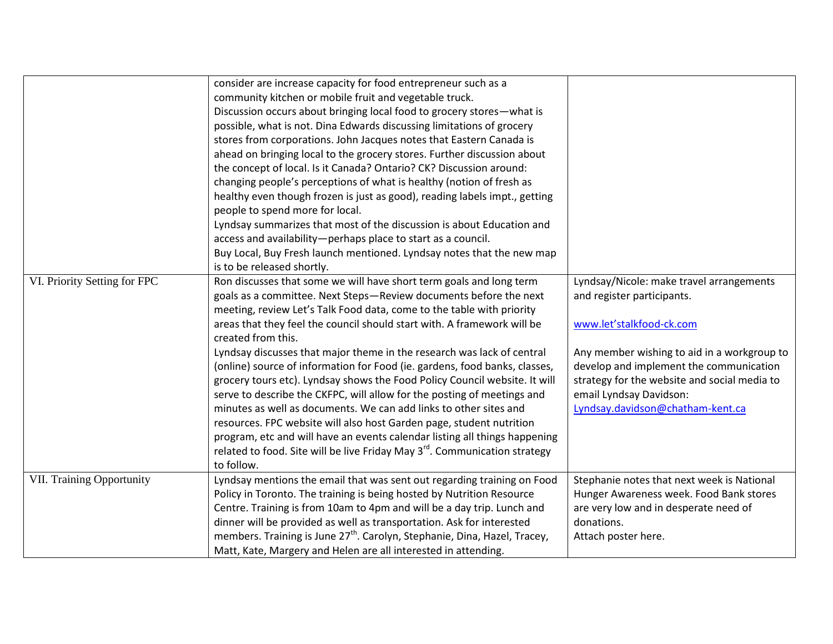|                                  | consider are increase capacity for food entrepreneur such as a                         |                                              |
|----------------------------------|----------------------------------------------------------------------------------------|----------------------------------------------|
|                                  | community kitchen or mobile fruit and vegetable truck.                                 |                                              |
|                                  | Discussion occurs about bringing local food to grocery stores-what is                  |                                              |
|                                  | possible, what is not. Dina Edwards discussing limitations of grocery                  |                                              |
|                                  | stores from corporations. John Jacques notes that Eastern Canada is                    |                                              |
|                                  | ahead on bringing local to the grocery stores. Further discussion about                |                                              |
|                                  | the concept of local. Is it Canada? Ontario? CK? Discussion around:                    |                                              |
|                                  | changing people's perceptions of what is healthy (notion of fresh as                   |                                              |
|                                  | healthy even though frozen is just as good), reading labels impt., getting             |                                              |
|                                  | people to spend more for local.                                                        |                                              |
|                                  | Lyndsay summarizes that most of the discussion is about Education and                  |                                              |
|                                  | access and availability-perhaps place to start as a council.                           |                                              |
|                                  | Buy Local, Buy Fresh launch mentioned. Lyndsay notes that the new map                  |                                              |
|                                  | is to be released shortly.                                                             |                                              |
| VI. Priority Setting for FPC     | Ron discusses that some we will have short term goals and long term                    | Lyndsay/Nicole: make travel arrangements     |
|                                  | goals as a committee. Next Steps-Review documents before the next                      | and register participants.                   |
|                                  | meeting, review Let's Talk Food data, come to the table with priority                  |                                              |
|                                  | areas that they feel the council should start with. A framework will be                | www.let'stalkfood-ck.com                     |
|                                  | created from this.                                                                     |                                              |
|                                  | Lyndsay discusses that major theme in the research was lack of central                 | Any member wishing to aid in a workgroup to  |
|                                  | (online) source of information for Food (ie. gardens, food banks, classes,             | develop and implement the communication      |
|                                  | grocery tours etc). Lyndsay shows the Food Policy Council website. It will             | strategy for the website and social media to |
|                                  | serve to describe the CKFPC, will allow for the posting of meetings and                | email Lyndsay Davidson:                      |
|                                  | minutes as well as documents. We can add links to other sites and                      | Lyndsay.davidson@chatham-kent.ca             |
|                                  | resources. FPC website will also host Garden page, student nutrition                   |                                              |
|                                  | program, etc and will have an events calendar listing all things happening             |                                              |
|                                  | related to food. Site will be live Friday May 3 <sup>rd</sup> . Communication strategy |                                              |
|                                  | to follow.                                                                             |                                              |
| <b>VII. Training Opportunity</b> | Lyndsay mentions the email that was sent out regarding training on Food                | Stephanie notes that next week is National   |
|                                  | Policy in Toronto. The training is being hosted by Nutrition Resource                  | Hunger Awareness week. Food Bank stores      |
|                                  | Centre. Training is from 10am to 4pm and will be a day trip. Lunch and                 | are very low and in desperate need of        |
|                                  | dinner will be provided as well as transportation. Ask for interested                  | donations.                                   |
|                                  | members. Training is June 27 <sup>th</sup> . Carolyn, Stephanie, Dina, Hazel, Tracey,  | Attach poster here.                          |
|                                  | Matt, Kate, Margery and Helen are all interested in attending.                         |                                              |